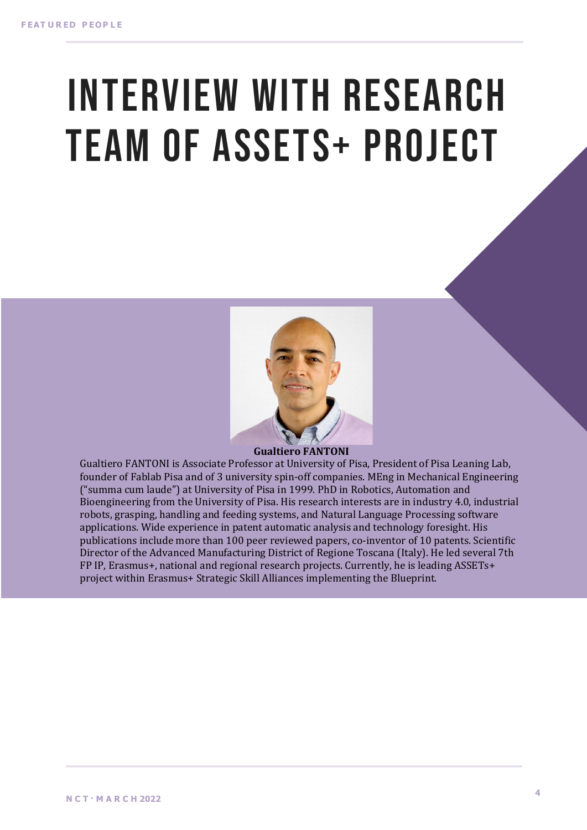# INTERVIEW WITH RESEARCH TEAM OF ASSETS+ PROJECT



Gualtiero FANTONI is Associate Professor at University of Pisa, President of Pisa Leaning Lab, founder of Fablab Pisa and of 3 university spin-off companies. MEng in Mechanical Engineering ("summa cum laude") at University of Pisa in 1999. PhD in Robotics, Automation and Bioengineering from the University of Pisa. His research interests are in industry 4.0, industrial robots, grasping, handling and feeding systems, and Natural Language Processing software applications. Wide experience in patent automatic analysis and technology foresight. His publications include more than 100 peer reviewed papers, co-inventor of 10 patents. Scientific Director of the Advanced Manufacturing District of Regione Toscana (Italy). He led several 7th FP IP, Erasmus+, national and regional research projects. Currently, he is leading ASSETs+ project within Erasmus+ Strategic Skill Alliances implementing the Blueprint.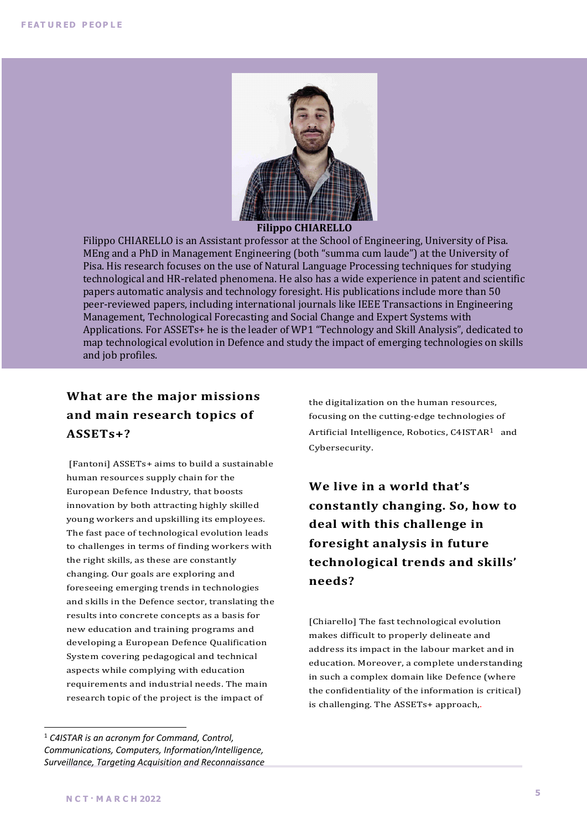

#### **Filippo CHIARELLO**

Filippo CHIARELLO is an Assistant professor at the School of Engineering, University of Pisa. MEng and a PhD in Management Engineering (both "summa cum laude") at the University of Pisa. His research focuses on the use of Natural Language Processing techniques for studying technological and HR-related phenomena. He also has a wide experience in patent and scientific papers automatic analysis and technology foresight. His publications include more than 50 peer-reviewed papers, including international journals like IEEE Transactions in Engineering Management, Technological Forecasting and Social Change and Expert Systems with Applications. For ASSETs+ he is the leader of WP1 "Technology and Skill Analysis", dedicated to map technological evolution in Defence and study the impact of emerging technologies on skills and job profiles.

#### **What are the major missions** and main research topics of **ASSETs+?**

[Fantoni] ASSETs+ aims to build a sustainable human resources supply chain for the European Defence Industry, that boosts innovation by both attracting highly skilled young workers and upskilling its employees. The fast pace of technological evolution leads to challenges in terms of finding workers with the right skills, as these are constantly changing. Our goals are exploring and foreseeing emerging trends in technologies and skills in the Defence sector, translating the results into concrete concepts as a basis for new education and training programs and developing a European Defence Qualification System covering pedagogical and technical aspects while complying with education requirements and industrial needs. The main research topic of the project is the impact of

the digitalization on the human resources, focusing on the cutting-edge technologies of Artificial Intelligence, Robotics, C4ISTAR<sup>1</sup> and Cybersecurity.

We live in a world that's **constantly changing. So, how to**  deal with this challenge in **foresight analysis in future technological trends and skills' needs?**

[Chiarello] The fast technological evolution makes difficult to properly delineate and address its impact in the labour market and in education. Moreover, a complete understanding in such a complex domain like Defence (where the confidentiality of the information is critical) is challenging. The ASSETs+ approach,.

<sup>1</sup> *C4ISTAR is an acronym for Command, Control, Communications, Computers, Information/Intelligence, Surveillance, Targeting Acquisition and Reconnaissance*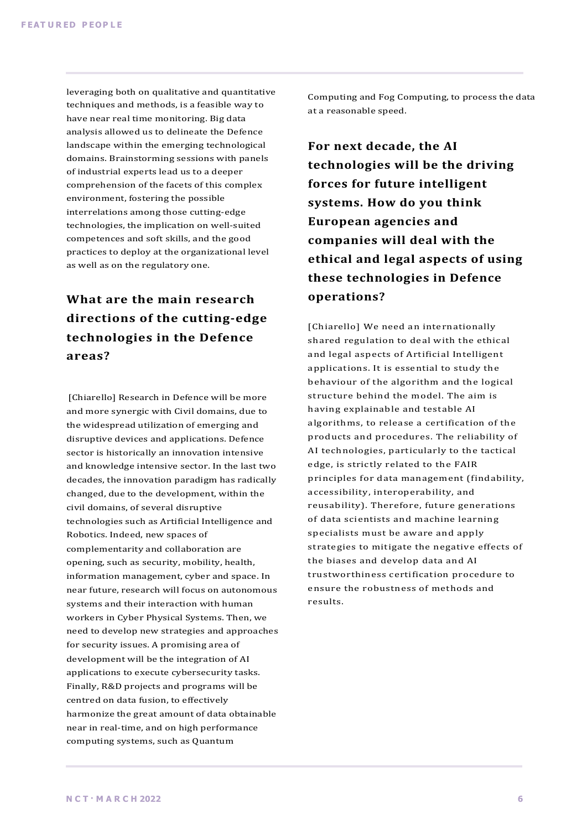leveraging both on qualitative and quantitative techniques and methods, is a feasible way to have near real time monitoring. Big data analysis allowed us to delineate the Defence landscape within the emerging technological domains. Brainstorming sessions with panels of industrial experts lead us to a deeper comprehension of the facets of this complex environment, fostering the possible interrelations among those cutting-edge technologies, the implication on well-suited competences and soft skills, and the good practices to deploy at the organizational level as well as on the regulatory one.

# **What are the main research** directions of the cutting-edge **technologies in the Defence areas?**

[Chiarello] Research in Defence will be more and more synergic with Civil domains, due to the widespread utilization of emerging and disruptive devices and applications. Defence sector is historically an innovation intensive and knowledge intensive sector. In the last two decades, the innovation paradigm has radically changed, due to the development, within the civil domains, of several disruptive technologies such as Artificial Intelligence and Robotics. Indeed, new spaces of complementarity and collaboration are opening, such as security, mobility, health, information management, cyber and space. In near future, research will focus on autonomous systems and their interaction with human workers in Cyber Physical Systems. Then, we need to develop new strategies and approaches for security issues. A promising area of development will be the integration of AI applications to execute cybersecurity tasks. Finally, R&D projects and programs will be centred on data fusion, to effectively harmonize the great amount of data obtainable near in real-time, and on high performance computing systems, such as Quantum

Computing and Fog Computing, to process the data at a reasonable speed.

For next decade, the AI **technologies will be the driving forces** for future intelligent systems. How do you think **European agencies and**  companies will deal with the **ethical and legal aspects of using these technologies in Defence operations?**

[Chiarello] We need an internationally shared regulation to deal with the ethical and legal aspects of Artificial Intelligent applications. It is essential to study the behaviour of the algorithm and the logical structure behind the model. The aim is having explainable and testable AI algorithms, to release a certification of the products and procedures. The reliability of AI technologies, particularly to the tactical edge, is strictly related to the FAIR principles for data management (findability, accessibility, interoperability, and reusability). Therefore, future generations of data scientists and machine learning specialists must be aware and apply strategies to mitigate the negative effects of the biases and develop data and AI trustworthiness certification procedure to ensure the robustness of methods and results.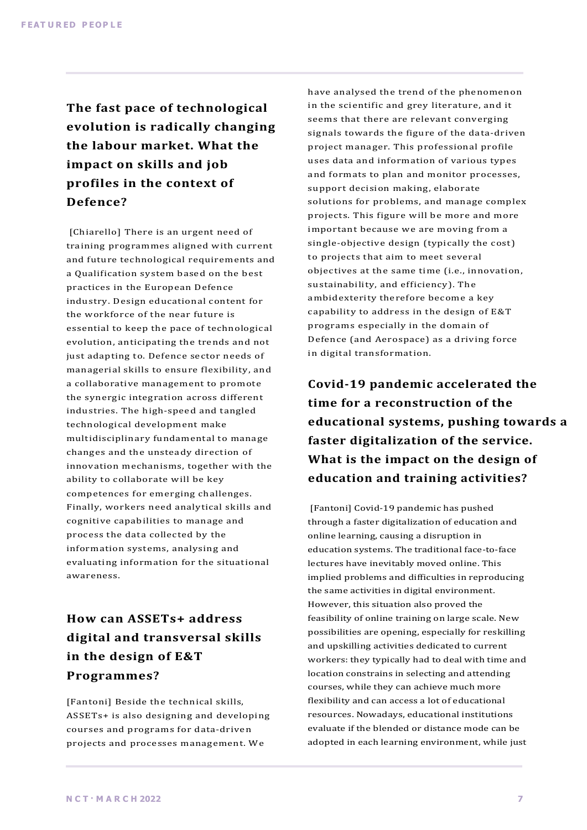The fast pace of technological **evolution is radically changing the labour market. What the** impact on skills and job profiles in the context of **Defence?**

[Chiarello] There is an urgent need of training programmes aligned with current and future technological requirements and a Qualification system based on the best practices in the European Defence industry. Design educational content for the workforce of the near future is essential to keep the pace of technological evolution, anticipating the trends and not just adapting to. Defence sector needs of managerial skills to ensure flexibility, and a collaborative management to promote the synergic integration across different industries. The high-speed and tangled technological development make multidisciplinary fundamental to manage changes and the unsteady direction of innovation mechanisms, together with the ability to collaborate will be key competences for emerging challenges. Finally, workers need analytical skills and cognitive capabilities to manage and process the data collected by the information systems, analysing and evaluating information for the situational awareness.

#### **How can ASSETs+ address digital and transversal skills**  in the design of E&T **Programmes?**

[Fantoni] Beside the technical skills, ASSETs+ is also designing and developing courses and programs for data-driven projects and processes management. We

have analysed the trend of the phenomenon in the scientific and grey literature, and it seems that there are relevant converging signals towards the figure of the data-driven project manager. This professional profile uses data and information of various types and formats to plan and monitor processes, support decision making, elaborate solutions for problems, and manage complex projects. This figure will be more and more important because we are moving from a single-objective design (typically the cost) to projects that aim to meet several objectives at the same time (i.e., innovation, sustainability, and efficiency). The ambidexterity therefore become a key capability to address in the design of E&T programs especially in the domain of Defence (and Aerospace) as a driving force in digital transformation.

**Covid-19 pandemic accelerated the time for a reconstruction of the** educational systems, pushing towards a faster digitalization of the service. **What is the impact on the design of education and training activities?**

[Fantoni] Covid-19 pandemic has pushed through a faster digitalization of education and online learning, causing a disruption in education systems. The traditional face-to-face lectures have inevitably moved online. This implied problems and difficulties in reproducing the same activities in digital environment. However, this situation also proved the feasibility of online training on large scale. New possibilities are opening, especially for reskilling and upskilling activities dedicated to current workers: they typically had to deal with time and location constrains in selecting and attending courses, while they can achieve much more flexibility and can access a lot of educational resources. Nowadays, educational institutions evaluate if the blended or distance mode can be adopted in each learning environment, while just